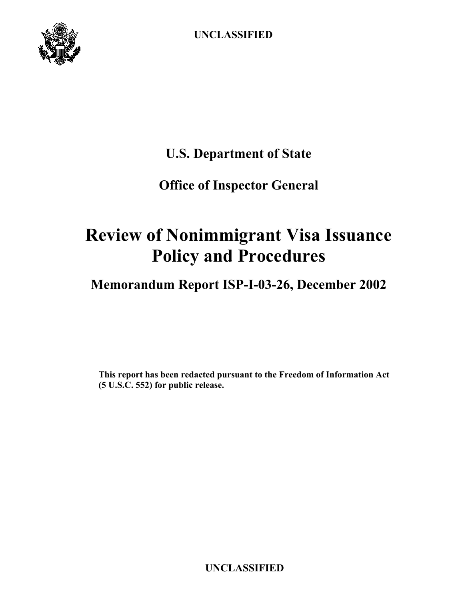

**U.S. Department of State** 

## **Office of Inspector General**

# **Review of Nonimmigrant Visa Issuance Policy and Procedures**

## **Memorandum Report ISP-I-03-26, December 2002**

**This report has been redacted pursuant to the Freedom of Information Act (5 U.S.C. 552) for public release.**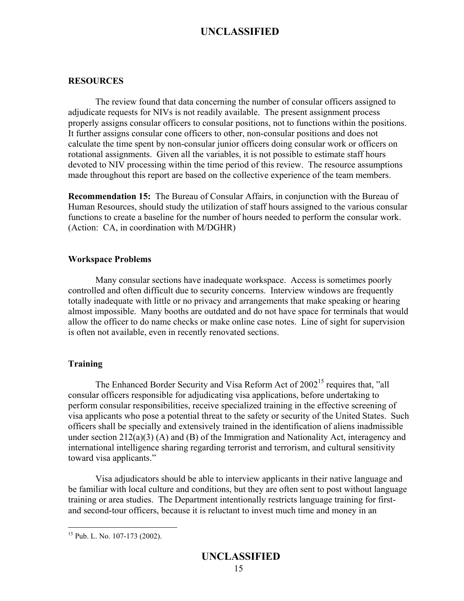#### **RESOURCES**

The review found that data concerning the number of consular officers assigned to adjudicate requests for NIVs is not readily available. The present assignment process properly assigns consular officers to consular positions, not to functions within the positions. It further assigns consular cone officers to other, non-consular positions and does not calculate the time spent by non-consular junior officers doing consular work or officers on rotational assignments. Given all the variables, it is not possible to estimate staff hours devoted to NIV processing within the time period of this review. The resource assumptions made throughout this report are based on the collective experience of the team members.

**Recommendation 15:** The Bureau of Consular Affairs, in conjunction with the Bureau of Human Resources, should study the utilization of staff hours assigned to the various consular functions to create a baseline for the number of hours needed to perform the consular work. (Action: CA, in coordination with M/DGHR)

#### **Workspace Problems**

Many consular sections have inadequate workspace. Access is sometimes poorly controlled and often difficult due to security concerns. Interview windows are frequently totally inadequate with little or no privacy and arrangements that make speaking or hearing almost impossible. Many booths are outdated and do not have space for terminals that would allow the officer to do name checks or make online case notes. Line of sight for supervision is often not available, even in recently renovated sections.

#### **Training**

The Enhanced Border Security and Visa Reform Act of  $2002^{15}$  requires that, "all consular officers responsible for adjudicating visa applications, before undertaking to perform consular responsibilities, receive specialized training in the effective screening of visa applicants who pose a potential threat to the safety or security of the United States. Such officers shall be specially and extensively trained in the identification of aliens inadmissible under section 212(a)(3) (A) and (B) of the Immigration and Nationality Act, interagency and international intelligence sharing regarding terrorist and terrorism, and cultural sensitivity toward visa applicants."

Visa adjudicators should be able to interview applicants in their native language and be familiar with local culture and conditions, but they are often sent to post without language training or area studies. The Department intentionally restricts language training for firstand second-tour officers, because it is reluctant to invest much time and money in an

 $\overline{a}$ 

<span id="page-15-0"></span><sup>15</sup> Pub. L. No. 107-173 (2002).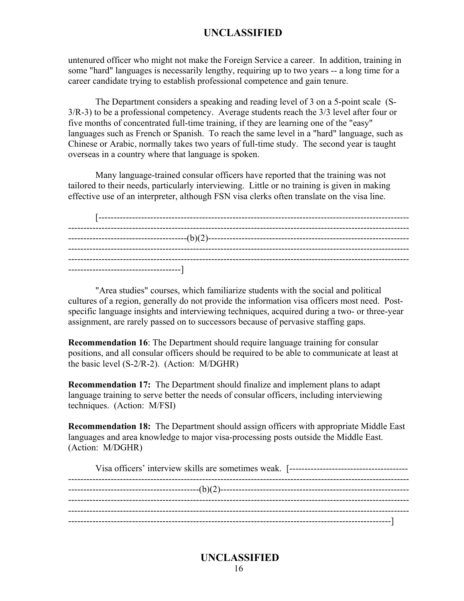untenured officer who might not make the Foreign Service a career. In addition, training in some "hard" languages is necessarily lengthy, requiring up to two years -- a long time for a career candidate trying to establish professional competence and gain tenure.

The Department considers a speaking and reading level of 3 on a 5-point scale (S-3/R-3) to be a professional competency. Average students reach the 3/3 level after four or five months of concentrated full-time training, if they are learning one of the "easy" languages such as French or Spanish. To reach the same level in a "hard" language, such as Chinese or Arabic, normally takes two years of full-time study. The second year is taught overseas in a country where that language is spoken.

Many language-trained consular officers have reported that the training was not tailored to their needs, particularly interviewing. Little or no training is given in making effective use of an interpreter, although FSN visa clerks often translate on the visa line.

"Area studies" courses, which familiarize students with the social and political cultures of a region, generally do not provide the information visa officers most need. Postspecific language insights and interviewing techniques, acquired during a two- or three-year assignment, are rarely passed on to successors because of pervasive staffing gaps.

**Recommendation 16**: The Department should require language training for consular positions, and all consular officers should be required to be able to communicate at least at the basic level (S-2/R-2). (Action: M/DGHR)

**Recommendation 17:** The Department should finalize and implement plans to adapt language training to serve better the needs of consular officers, including interviewing techniques. (Action: M/FSI)

**Recommendation 18:** The Department should assign officers with appropriate Middle East languages and area knowledge to major visa-processing posts outside the Middle East. (Action: M/DGHR)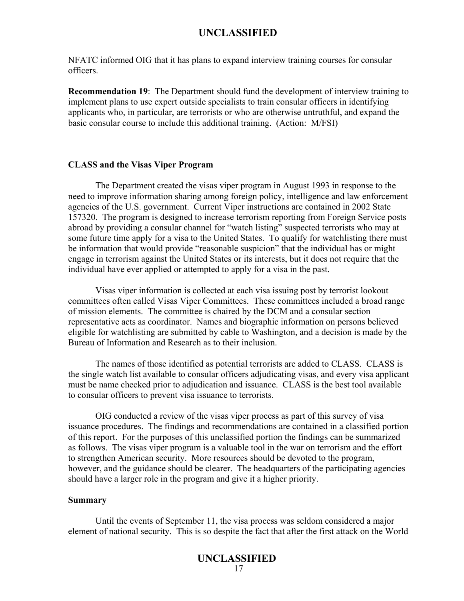NFATC informed OIG that it has plans to expand interview training courses for consular officers.

**Recommendation 19**: The Department should fund the development of interview training to implement plans to use expert outside specialists to train consular officers in identifying applicants who, in particular, are terrorists or who are otherwise untruthful, and expand the basic consular course to include this additional training. (Action: M/FSI)

#### **CLASS and the Visas Viper Program**

The Department created the visas viper program in August 1993 in response to the need to improve information sharing among foreign policy, intelligence and law enforcement agencies of the U.S. government. Current Viper instructions are contained in 2002 State 157320. The program is designed to increase terrorism reporting from Foreign Service posts abroad by providing a consular channel for "watch listing" suspected terrorists who may at some future time apply for a visa to the United States. To qualify for watchlisting there must be information that would provide "reasonable suspicion" that the individual has or might engage in terrorism against the United States or its interests, but it does not require that the individual have ever applied or attempted to apply for a visa in the past.

Visas viper information is collected at each visa issuing post by terrorist lookout committees often called Visas Viper Committees. These committees included a broad range of mission elements. The committee is chaired by the DCM and a consular section representative acts as coordinator. Names and biographic information on persons believed eligible for watchlisting are submitted by cable to Washington, and a decision is made by the Bureau of Information and Research as to their inclusion.

The names of those identified as potential terrorists are added to CLASS. CLASS is the single watch list available to consular officers adjudicating visas, and every visa applicant must be name checked prior to adjudication and issuance. CLASS is the best tool available to consular officers to prevent visa issuance to terrorists.

OIG conducted a review of the visas viper process as part of this survey of visa issuance procedures. The findings and recommendations are contained in a classified portion of this report. For the purposes of this unclassified portion the findings can be summarized as follows. The visas viper program is a valuable tool in the war on terrorism and the effort to strengthen American security. More resources should be devoted to the program, however, and the guidance should be clearer. The headquarters of the participating agencies should have a larger role in the program and give it a higher priority.

#### **Summary**

Until the events of September 11, the visa process was seldom considered a major element of national security. This is so despite the fact that after the first attack on the World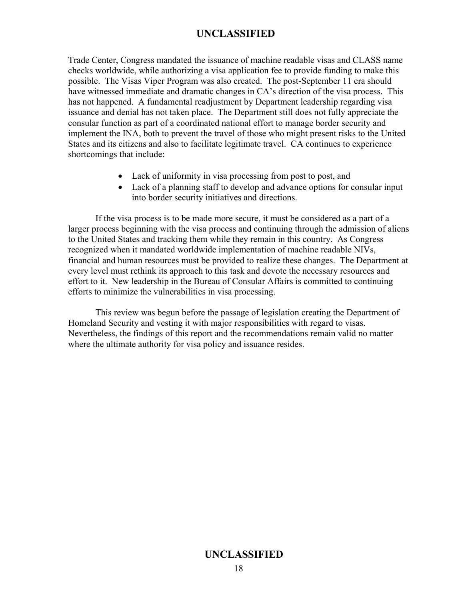Trade Center, Congress mandated the issuance of machine readable visas and CLASS name checks worldwide, while authorizing a visa application fee to provide funding to make this possible. The Visas Viper Program was also created. The post-September 11 era should have witnessed immediate and dramatic changes in CA's direction of the visa process. This has not happened. A fundamental readjustment by Department leadership regarding visa issuance and denial has not taken place. The Department still does not fully appreciate the consular function as part of a coordinated national effort to manage border security and implement the INA, both to prevent the travel of those who might present risks to the United States and its citizens and also to facilitate legitimate travel. CA continues to experience shortcomings that include:

- Lack of uniformity in visa processing from post to post, and
- Lack of a planning staff to develop and advance options for consular input into border security initiatives and directions.

If the visa process is to be made more secure, it must be considered as a part of a larger process beginning with the visa process and continuing through the admission of aliens to the United States and tracking them while they remain in this country. As Congress recognized when it mandated worldwide implementation of machine readable NIVs, financial and human resources must be provided to realize these changes. The Department at every level must rethink its approach to this task and devote the necessary resources and effort to it. New leadership in the Bureau of Consular Affairs is committed to continuing efforts to minimize the vulnerabilities in visa processing.

This review was begun before the passage of legislation creating the Department of Homeland Security and vesting it with major responsibilities with regard to visas. Nevertheless, the findings of this report and the recommendations remain valid no matter where the ultimate authority for visa policy and issuance resides.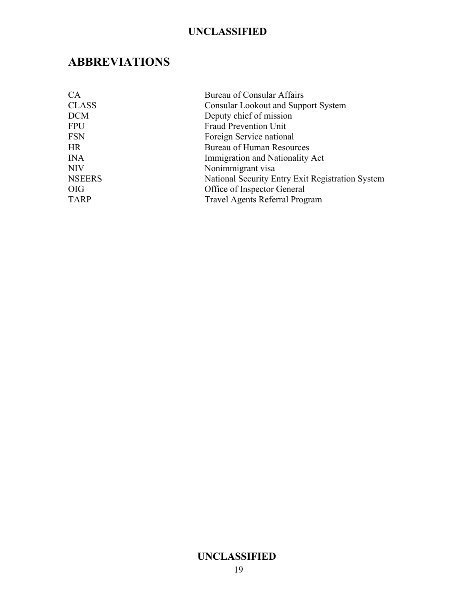## **ABBREVIATIONS**

| CA            | <b>Bureau of Consular Affairs</b>                |
|---------------|--------------------------------------------------|
| <b>CLASS</b>  | <b>Consular Lookout and Support System</b>       |
| <b>DCM</b>    | Deputy chief of mission                          |
| <b>FPU</b>    | <b>Fraud Prevention Unit</b>                     |
| <b>FSN</b>    | Foreign Service national                         |
| <b>HR</b>     | <b>Bureau of Human Resources</b>                 |
| <b>INA</b>    | Immigration and Nationality Act                  |
| <b>NIV</b>    | Nonimmigrant visa                                |
| <b>NSEERS</b> | National Security Entry Exit Registration System |
| <b>OIG</b>    | Office of Inspector General                      |
| <b>TARP</b>   | <b>Travel Agents Referral Program</b>            |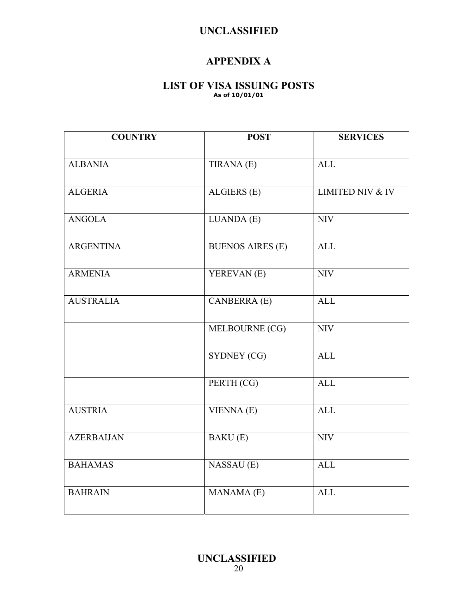### **APPENDIX A**

### **LIST OF VISA ISSUING POSTS As of 10/01/01**

| <b>COUNTRY</b>    | <b>POST</b>             | <b>SERVICES</b>             |
|-------------------|-------------------------|-----------------------------|
|                   |                         |                             |
| <b>ALBANIA</b>    | TIRANA (E)              | <b>ALL</b>                  |
|                   |                         |                             |
| <b>ALGERIA</b>    | ALGIERS (E)             | <b>LIMITED NIV &amp; IV</b> |
| <b>ANGOLA</b>     | LUANDA (E)              | <b>NIV</b>                  |
|                   |                         |                             |
| <b>ARGENTINA</b>  | <b>BUENOS AIRES (E)</b> | <b>ALL</b>                  |
|                   |                         |                             |
| <b>ARMENIA</b>    | YEREVAN (E)             | <b>NIV</b>                  |
|                   |                         |                             |
| <b>AUSTRALIA</b>  | <b>CANBERRA</b> (E)     | <b>ALL</b>                  |
|                   |                         | $\overline{NIV}$            |
|                   | MELBOURNE (CG)          |                             |
|                   | SYDNEY (CG)             | <b>ALL</b>                  |
|                   |                         |                             |
|                   | PERTH (CG)              | <b>ALL</b>                  |
|                   |                         |                             |
| <b>AUSTRIA</b>    | VIENNA(E)               | <b>ALL</b>                  |
|                   |                         |                             |
| <b>AZERBAIJAN</b> | <b>BAKU</b> (E)         | <b>NIV</b>                  |
| <b>BAHAMAS</b>    | NASSAU (E)              | <b>ALL</b>                  |
|                   |                         |                             |
| <b>BAHRAIN</b>    | MANAMA (E)              | <b>ALL</b>                  |
|                   |                         |                             |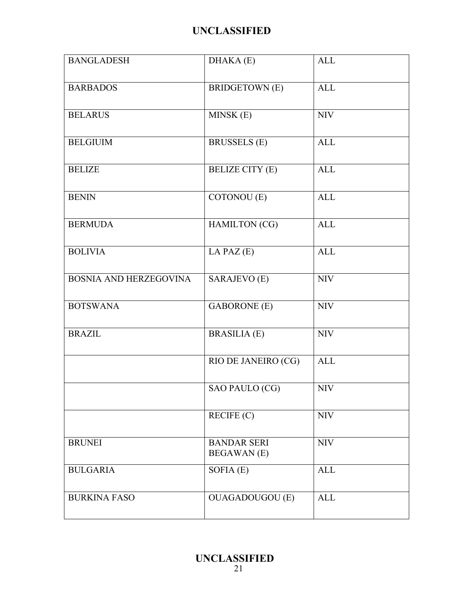| <b>BANGLADESH</b>      | DHAKA (E)                                | <b>ALL</b> |
|------------------------|------------------------------------------|------------|
| <b>BARBADOS</b>        | <b>BRIDGETOWN</b> (E)                    | <b>ALL</b> |
| <b>BELARUS</b>         | MINSK (E)                                | <b>NIV</b> |
| <b>BELGIUIM</b>        | <b>BRUSSELS</b> (E)                      | <b>ALL</b> |
| <b>BELIZE</b>          | <b>BELIZE CITY (E)</b>                   | <b>ALL</b> |
| <b>BENIN</b>           | COTONOU (E)                              | <b>ALL</b> |
| <b>BERMUDA</b>         | <b>HAMILTON</b> (CG)                     | <b>ALL</b> |
| <b>BOLIVIA</b>         | LA PAZ $(E)$                             | <b>ALL</b> |
| BOSNIA AND HERZEGOVINA | SARAJEVO (E)                             | <b>NIV</b> |
| <b>BOTSWANA</b>        | <b>GABORONE</b> (E)                      | <b>NIV</b> |
| <b>BRAZIL</b>          | <b>BRASILIA (E)</b>                      | $\rm NIV$  |
|                        | RIO DE JANEIRO (CG)                      | <b>ALL</b> |
|                        | SAO PAULO (CG)                           | <b>NIV</b> |
|                        | RECIFE (C)                               | <b>NIV</b> |
| <b>BRUNEI</b>          | <b>BANDAR SERI</b><br><b>BEGAWAN</b> (E) | <b>NIV</b> |
| <b>BULGARIA</b>        | SOFIA $(E)$                              | <b>ALL</b> |
| <b>BURKINA FASO</b>    | <b>OUAGADOUGOU (E)</b>                   | <b>ALL</b> |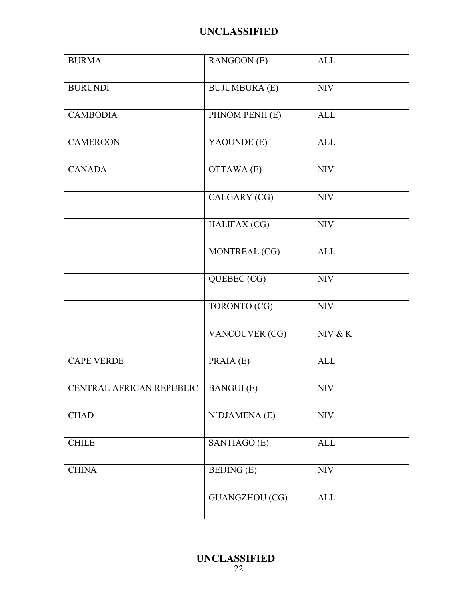| <b>BURMA</b>             | RANGOON (E)           | <b>ALL</b>   |
|--------------------------|-----------------------|--------------|
| <b>BURUNDI</b>           | <b>BUJUMBURA (E)</b>  | $\rm NIV$    |
| <b>CAMBODIA</b>          | PHNOM PENH (E)        | $\mbox{ALL}$ |
| <b>CAMEROON</b>          | YAOUNDE (E)           | <b>ALL</b>   |
| <b>CANADA</b>            | OTTAWA (E)            | <b>NIV</b>   |
|                          | CALGARY (CG)          | $\rm NIV$    |
|                          | <b>HALIFAX (CG)</b>   | $\rm NIV$    |
|                          | MONTREAL (CG)         | <b>ALL</b>   |
|                          | QUEBEC (CG)           | <b>NIV</b>   |
|                          | TORONTO (CG)          | $\rm NIV$    |
|                          | VANCOUVER (CG)        | NIV & K      |
| <b>CAPE VERDE</b>        | PRAIA (E)             | <b>ALL</b>   |
| CENTRAL AFRICAN REPUBLIC | <b>BANGUI</b> (E)     | <b>NIV</b>   |
| <b>CHAD</b>              | N'DJAMENA (E)         | <b>NIV</b>   |
| <b>CHILE</b>             | SANTIAGO (E)          | $\mbox{ALL}$ |
| <b>CHINA</b>             | <b>BEIJING</b> (E)    | <b>NIV</b>   |
|                          | <b>GUANGZHOU (CG)</b> | <b>ALL</b>   |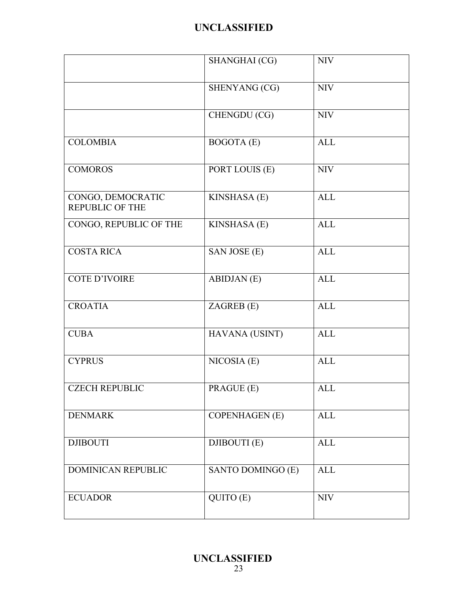|                                             | SHANGHAI (CG)         | <b>NIV</b> |
|---------------------------------------------|-----------------------|------------|
|                                             | SHENYANG (CG)         | <b>NIV</b> |
|                                             | CHENGDU (CG)          | <b>NIV</b> |
| <b>COLOMBIA</b>                             | <b>BOGOTA</b> (E)     | <b>ALL</b> |
| <b>COMOROS</b>                              | PORT LOUIS (E)        | <b>NIV</b> |
| CONGO, DEMOCRATIC<br><b>REPUBLIC OF THE</b> | KINSHASA (E)          | <b>ALL</b> |
| CONGO, REPUBLIC OF THE                      | KINSHASA (E)          | <b>ALL</b> |
| <b>COSTA RICA</b>                           | SAN JOSE (E)          | <b>ALL</b> |
| <b>COTE D'IVOIRE</b>                        | <b>ABIDJAN</b> (E)    | <b>ALL</b> |
| <b>CROATIA</b>                              | ZAGREB (E)            | <b>ALL</b> |
| <b>CUBA</b>                                 | HAVANA (USINT)        | <b>ALL</b> |
| <b>CYPRUS</b>                               | NICOSIA(E)            | <b>ALL</b> |
| <b>CZECH REPUBLIC</b>                       | PRAGUE (E)            | <b>ALL</b> |
| <b>DENMARK</b>                              | <b>COPENHAGEN</b> (E) | <b>ALL</b> |
| <b>DJIBOUTI</b>                             | DJIBOUTI (E)          | <b>ALL</b> |
| <b>DOMINICAN REPUBLIC</b>                   | SANTO DOMINGO (E)     | <b>ALL</b> |
| <b>ECUADOR</b>                              | QUITO (E)             | <b>NIV</b> |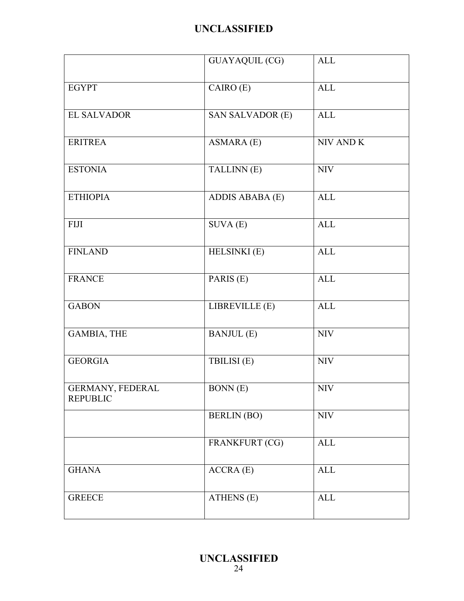|                                     | <b>GUAYAQUIL (CG)</b>   | <b>ALL</b>   |
|-------------------------------------|-------------------------|--------------|
| <b>EGYPT</b>                        | CAIRO (E)               | ALL          |
| EL SALVADOR                         | <b>SAN SALVADOR (E)</b> | ALL          |
| <b>ERITREA</b>                      | ASMARA (E)              | NIV AND K    |
| <b>ESTONIA</b>                      | TALLINN (E)             | <b>NIV</b>   |
| <b>ETHIOPIA</b>                     | ADDIS ABABA (E)         | ALL          |
| ${\rm FIII}$                        | $SUVA$ $(E)$            | ALL          |
| <b>FINLAND</b>                      | HELSINKI (E)            | ALL          |
| <b>FRANCE</b>                       | PARIS (E)               | <b>ALL</b>   |
| <b>GABON</b>                        | LIBREVILLE (E)          | <b>ALL</b>   |
| <b>GAMBIA, THE</b>                  | <b>BANJUL</b> (E)       | <b>NIV</b>   |
| <b>GEORGIA</b>                      | TBILISI (E)             | <b>NIV</b>   |
| GERMANY, FEDERAL<br><b>REPUBLIC</b> | <b>BONN</b> (E)         | <b>NIV</b>   |
|                                     | <b>BERLIN</b> (BO)      | <b>NIV</b>   |
|                                     | FRANKFURT (CG)          | ALL          |
| <b>GHANA</b>                        | ACCRA(E)                | $\mbox{ALL}$ |
| <b>GREECE</b>                       | ATHENS (E)              | $\mbox{ALL}$ |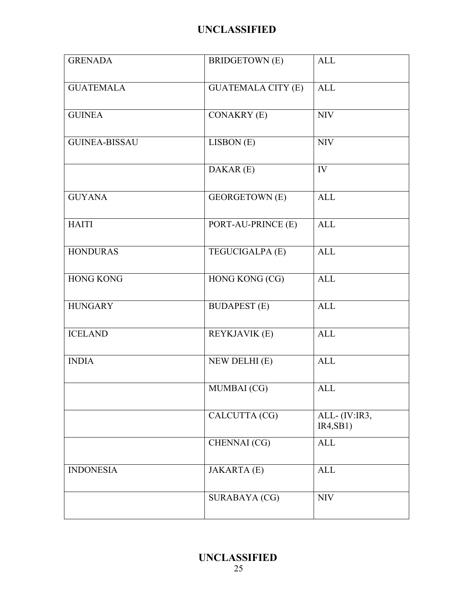| <b>GRENADA</b>       | <b>BRIDGETOWN</b> (E)     | <b>ALL</b>                |
|----------------------|---------------------------|---------------------------|
| <b>GUATEMALA</b>     | <b>GUATEMALA CITY (E)</b> | <b>ALL</b>                |
| <b>GUINEA</b>        | <b>CONAKRY (E)</b>        | <b>NIV</b>                |
| <b>GUINEA-BISSAU</b> | LISBON (E)                | $\rm NIV$                 |
|                      | DAKAR (E)                 | IV                        |
| <b>GUYANA</b>        | <b>GEORGETOWN</b> (E)     | <b>ALL</b>                |
| <b>HAITI</b>         | PORT-AU-PRINCE (E)        | <b>ALL</b>                |
| <b>HONDURAS</b>      | TEGUCIGALPA (E)           | <b>ALL</b>                |
| <b>HONG KONG</b>     | HONG KONG (CG)            | <b>ALL</b>                |
| <b>HUNGARY</b>       | <b>BUDAPEST</b> (E)       | <b>ALL</b>                |
| <b>ICELAND</b>       | <b>REYKJAVIK (E)</b>      | <b>ALL</b>                |
| <b>INDIA</b>         | NEW DELHI (E)             | <b>ALL</b>                |
|                      | MUMBAI (CG)               | <b>ALL</b>                |
|                      | CALCUTTA (CG)             | ALL-(IV:IR3,<br>IR4, SB1) |
|                      | CHENNAI (CG)              | <b>ALL</b>                |
| <b>INDONESIA</b>     | <b>JAKARTA</b> (E)        | <b>ALL</b>                |
|                      | <b>SURABAYA (CG)</b>      | <b>NIV</b>                |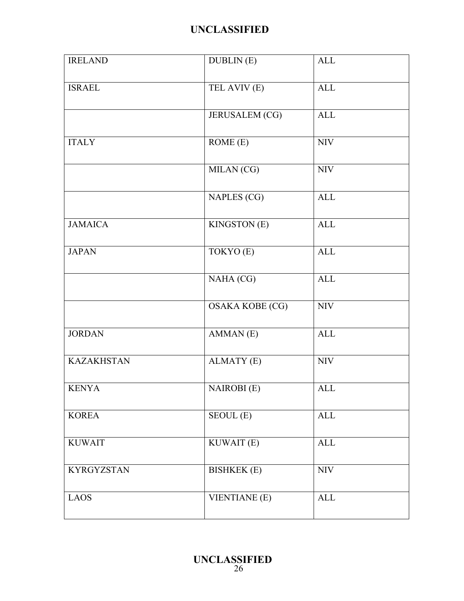| <b>IRELAND</b>    | <b>DUBLIN</b> (E)      | <b>ALL</b>   |
|-------------------|------------------------|--------------|
| <b>ISRAEL</b>     | TEL AVIV (E)           | ALL          |
|                   | <b>JERUSALEM (CG)</b>  | ALL          |
| <b>ITALY</b>      | ROME(E)                | <b>NIV</b>   |
|                   | MILAN (CG)             | <b>NIV</b>   |
|                   | NAPLES (CG)            | $\mbox{ALL}$ |
| <b>JAMAICA</b>    | <b>KINGSTON</b> (E)    | <b>ALL</b>   |
| <b>JAPAN</b>      | TOKYO (E)              | <b>ALL</b>   |
|                   | NAHA (CG)              | ALL          |
|                   | <b>OSAKA KOBE (CG)</b> | <b>NIV</b>   |
| <b>JORDAN</b>     | AMMAN(E)               | $\mbox{ALL}$ |
| <b>KAZAKHSTAN</b> | <b>ALMATY</b> (E)      | <b>NIV</b>   |
| <b>KENYA</b>      | <b>NAIROBI</b> (E)     | <b>ALL</b>   |
| <b>KOREA</b>      | SEOUL (E)              | <b>ALL</b>   |
| <b>KUWAIT</b>     | KUWAIT (E)             | <b>ALL</b>   |
| <b>KYRGYZSTAN</b> | <b>BISHKEK</b> (E)     | <b>NIV</b>   |
| <b>LAOS</b>       | <b>VIENTIANE (E)</b>   | $\mbox{ALL}$ |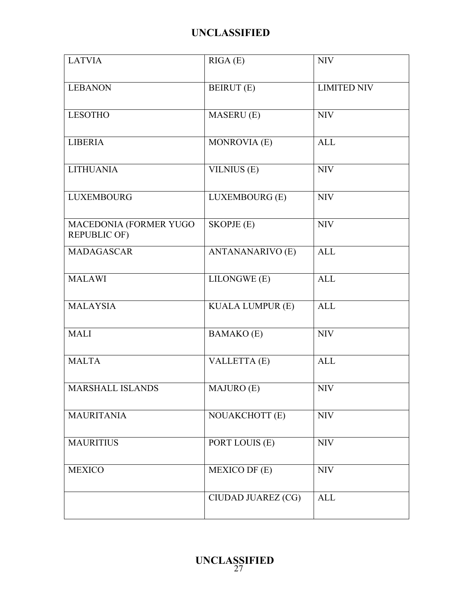| <b>LATVIA</b>                                 | RIGA(E)                 | <b>NIV</b>         |
|-----------------------------------------------|-------------------------|--------------------|
| <b>LEBANON</b>                                | <b>BEIRUT</b> (E)       | <b>LIMITED NIV</b> |
| <b>LESOTHO</b>                                | <b>MASERU</b> (E)       | <b>NIV</b>         |
| <b>LIBERIA</b>                                | MONROVIA (E)            | <b>ALL</b>         |
| <b>LITHUANIA</b>                              | VILNIUS (E)             | <b>NIV</b>         |
| <b>LUXEMBOURG</b>                             | LUXEMBOURG (E)          | <b>NIV</b>         |
| MACEDONIA (FORMER YUGO<br><b>REPUBLIC OF)</b> | <b>SKOPJE</b> (E)       | <b>NIV</b>         |
| MADAGASCAR                                    | <b>ANTANANARIVO (E)</b> | <b>ALL</b>         |
| <b>MALAWI</b>                                 | LILONGWE (E)            | <b>ALL</b>         |
| <b>MALAYSIA</b>                               | <b>KUALA LUMPUR (E)</b> | <b>ALL</b>         |
| <b>MALI</b>                                   | <b>BAMAKO</b> (E)       | <b>NIV</b>         |
| <b>MALTA</b>                                  | VALLETTA (E)            | <b>ALL</b>         |
| <b>MARSHALL ISLANDS</b>                       | MAJURO (E)              | <b>NIV</b>         |
| <b>MAURITANIA</b>                             | NOUAKCHOTT (E)          | <b>NIV</b>         |
| <b>MAURITIUS</b>                              | PORT LOUIS (E)          | <b>NIV</b>         |
| <b>MEXICO</b>                                 | <b>MEXICO DF (E)</b>    | <b>NIV</b>         |
|                                               | CIUDAD JUAREZ (CG)      | <b>ALL</b>         |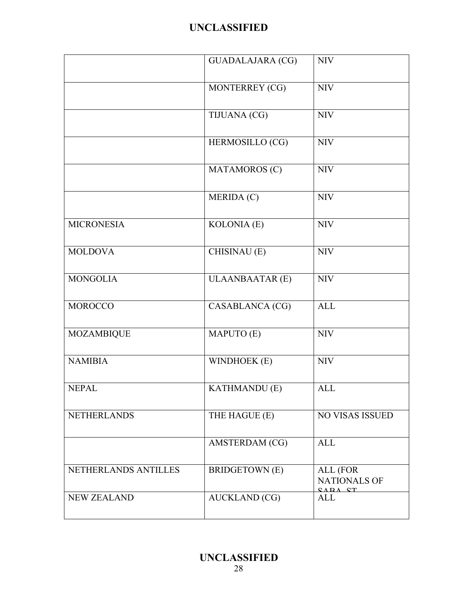|                      | <b>GUADALAJARA (CG)</b> | <b>NIV</b>                                     |
|----------------------|-------------------------|------------------------------------------------|
|                      | MONTERREY (CG)          | <b>NIV</b>                                     |
|                      | TIJUANA (CG)            | <b>NIV</b>                                     |
|                      | HERMOSILLO (CG)         | <b>NIV</b>                                     |
|                      | MATAMOROS (C)           | <b>NIV</b>                                     |
|                      | MERIDA (C)              | <b>NIV</b>                                     |
| <b>MICRONESIA</b>    | KOLONIA (E)             | <b>NIV</b>                                     |
| <b>MOLDOVA</b>       | CHISINAU (E)            | <b>NIV</b>                                     |
| <b>MONGOLIA</b>      | <b>ULAANBAATAR (E)</b>  | <b>NIV</b>                                     |
| <b>MOROCCO</b>       | CASABLANCA (CG)         | <b>ALL</b>                                     |
| <b>MOZAMBIQUE</b>    | MAPUTO (E)              | <b>NIV</b>                                     |
| <b>NAMIBIA</b>       | WINDHOEK (E)            | $\rm{NIV}$                                     |
| <b>NEPAL</b>         | <b>KATHMANDU</b> (E)    | <b>ALL</b>                                     |
| <b>NETHERLANDS</b>   | THE HAGUE (E)           | <b>NO VISAS ISSUED</b>                         |
|                      | AMSTERDAM (CG)          | <b>ALL</b>                                     |
| NETHERLANDS ANTILLES | <b>BRIDGETOWN</b> (E)   | ALL (FOR<br><b>NATIONALS OF</b><br>$CAPA$ $CT$ |
| <b>NEW ZEALAND</b>   | <b>AUCKLAND</b> (CG)    | ALL                                            |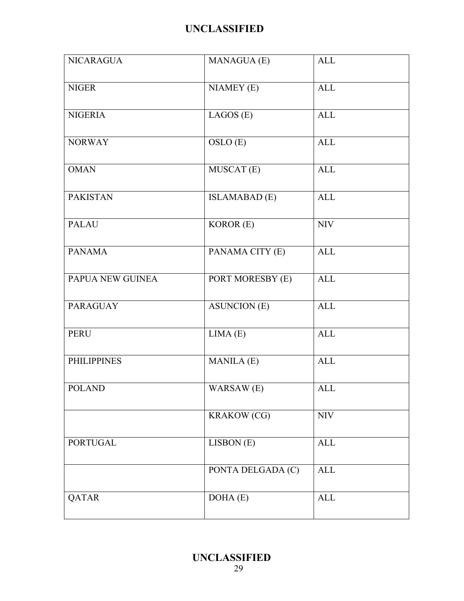| <b>NICARAGUA</b>   | <b>MANAGUA (E)</b>   | <b>ALL</b> |
|--------------------|----------------------|------------|
| <b>NIGER</b>       | $NIAMEY$ $(E)$       | <b>ALL</b> |
| <b>NIGERIA</b>     | LAGOS(E)             | ALL        |
| <b>NORWAY</b>      | OSLO (E)             | <b>ALL</b> |
| <b>OMAN</b>        | MUSCAT (E)           | <b>ALL</b> |
| <b>PAKISTAN</b>    | <b>ISLAMABAD</b> (E) | <b>ALL</b> |
| <b>PALAU</b>       | KOROR (E)            | <b>NIV</b> |
| <b>PANAMA</b>      | PANAMA CITY (E)      | <b>ALL</b> |
| PAPUA NEW GUINEA   | PORT MORESBY (E)     | <b>ALL</b> |
| <b>PARAGUAY</b>    | <b>ASUNCION (E)</b>  | <b>ALL</b> |
| <b>PERU</b>        | LIMA(E)              | <b>ALL</b> |
| <b>PHILIPPINES</b> | <b>MANILA</b> (E)    | <b>ALL</b> |
| <b>POLAND</b>      | WARSAW (E)           | <b>ALL</b> |
|                    | <b>KRAKOW</b> (CG)   | <b>NIV</b> |
| <b>PORTUGAL</b>    | LISBON (E)           | ALL        |
|                    | PONTA DELGADA (C)    | ALL        |
| QATAR              | DOHA(E)              | <b>ALL</b> |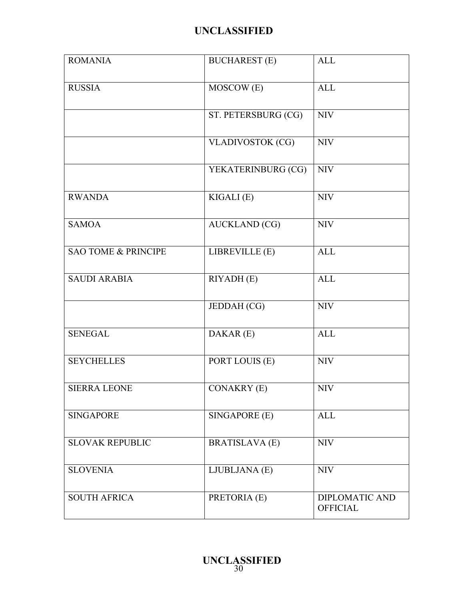| <b>ROMANIA</b>                 | <b>BUCHAREST (E)</b>    | <b>ALL</b>                               |
|--------------------------------|-------------------------|------------------------------------------|
| <b>RUSSIA</b>                  | MOSCOW (E)              | <b>ALL</b>                               |
|                                | ST. PETERSBURG (CG)     | <b>NIV</b>                               |
|                                | <b>VLADIVOSTOK (CG)</b> | <b>NIV</b>                               |
|                                | YEKATERINBURG (CG)      | <b>NIV</b>                               |
| <b>RWANDA</b>                  | KIGALI (E)              | <b>NIV</b>                               |
| <b>SAMOA</b>                   | <b>AUCKLAND</b> (CG)    | <b>NIV</b>                               |
| <b>SAO TOME &amp; PRINCIPE</b> | LIBREVILLE (E)          | <b>ALL</b>                               |
| <b>SAUDI ARABIA</b>            | RIYADH (E)              | <b>ALL</b>                               |
|                                | JEDDAH (CG)             | <b>NIV</b>                               |
| <b>SENEGAL</b>                 | DAKAR (E)               | <b>ALL</b>                               |
| <b>SEYCHELLES</b>              | PORT LOUIS (E)          | <b>NIV</b>                               |
| <b>SIERRA LEONE</b>            | <b>CONAKRY (E)</b>      | <b>NIV</b>                               |
| <b>SINGAPORE</b>               | SINGAPORE (E)           | <b>ALL</b>                               |
| <b>SLOVAK REPUBLIC</b>         | <b>BRATISLAVA (E)</b>   | <b>NIV</b>                               |
| <b>SLOVENIA</b>                | LJUBLJANA (E)           | <b>NIV</b>                               |
| <b>SOUTH AFRICA</b>            | PRETORIA (E)            | <b>DIPLOMATIC AND</b><br><b>OFFICIAL</b> |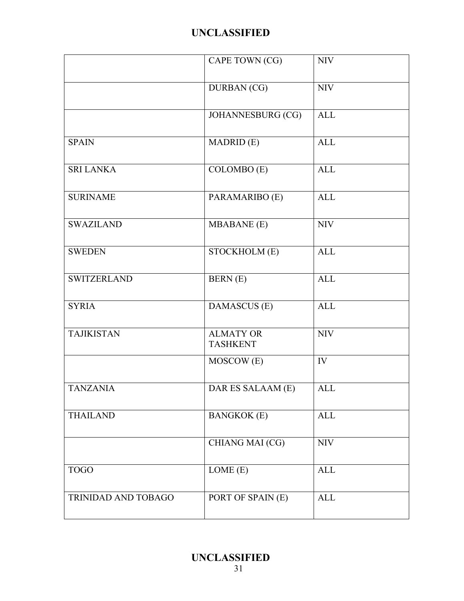|                     | CAPE TOWN (CG)                      | <b>NIV</b> |
|---------------------|-------------------------------------|------------|
|                     | <b>DURBAN</b> (CG)                  | <b>NIV</b> |
|                     | JOHANNESBURG (CG)                   | <b>ALL</b> |
| <b>SPAIN</b>        | <b>MADRID</b> (E)                   | <b>ALL</b> |
| <b>SRI LANKA</b>    | COLOMBO (E)                         | <b>ALL</b> |
| <b>SURINAME</b>     | PARAMARIBO (E)                      | <b>ALL</b> |
| <b>SWAZILAND</b>    | <b>MBABANE</b> (E)                  | <b>NIV</b> |
| <b>SWEDEN</b>       | STOCKHOLM(E)                        | <b>ALL</b> |
| <b>SWITZERLAND</b>  | BERN (E)                            | <b>ALL</b> |
| <b>SYRIA</b>        | DAMASCUS (E)                        | <b>ALL</b> |
| <b>TAJIKISTAN</b>   | <b>ALMATY OR</b><br><b>TASHKENT</b> | <b>NIV</b> |
|                     | MOSCOW (E)                          | IV         |
| <b>TANZANIA</b>     | DAR ES SALAAM (E)                   | <b>ALL</b> |
| <b>THAILAND</b>     | <b>BANGKOK (E)</b>                  | <b>ALL</b> |
|                     | CHIANG MAI (CG)                     | <b>NIV</b> |
| <b>TOGO</b>         | LOME(E)                             | <b>ALL</b> |
| TRINIDAD AND TOBAGO | PORT OF SPAIN (E)                   | <b>ALL</b> |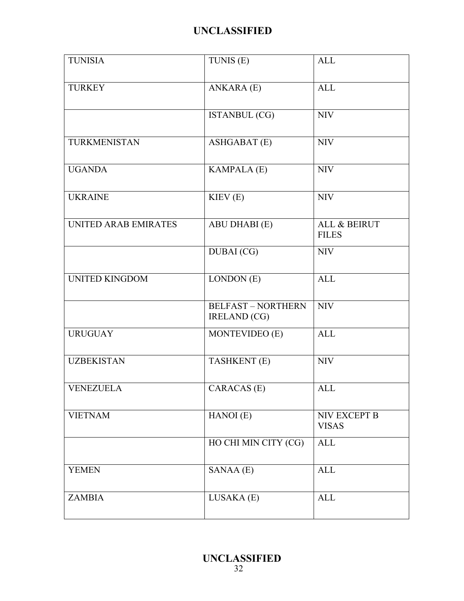| <b>TUNISIA</b>        | TUNIS (E)                                      | <b>ALL</b>                   |
|-----------------------|------------------------------------------------|------------------------------|
| <b>TURKEY</b>         | ANKARA (E)                                     | <b>ALL</b>                   |
|                       | <b>ISTANBUL (CG)</b>                           | <b>NIV</b>                   |
| TURKMENISTAN          | <b>ASHGABAT (E)</b>                            | <b>NIV</b>                   |
| <b>UGANDA</b>         | KAMPALA (E)                                    | <b>NIV</b>                   |
| <b>UKRAINE</b>        | KIEV(E)                                        | <b>NIV</b>                   |
| UNITED ARAB EMIRATES  | ABU DHABI (E)                                  | ALL & BEIRUT<br><b>FILES</b> |
|                       | <b>DUBAI</b> (CG)                              | <b>NIV</b>                   |
| <b>UNITED KINGDOM</b> | LONDON (E)                                     | <b>ALL</b>                   |
|                       | <b>BELFAST-NORTHERN</b><br><b>IRELAND</b> (CG) | <b>NIV</b>                   |
| <b>URUGUAY</b>        | MONTEVIDEO (E)                                 | <b>ALL</b>                   |
| <b>UZBEKISTAN</b>     | TASHKENT (E)                                   | <b>NIV</b>                   |
| <b>VENEZUELA</b>      | CARACAS (E)                                    | <b>ALL</b>                   |
| <b>VIETNAM</b>        | HANOI (E)                                      | NIV EXCEPT B<br><b>VISAS</b> |
|                       | HO CHI MIN CITY (CG)                           | <b>ALL</b>                   |
| <b>YEMEN</b>          | SANAA (E)                                      | <b>ALL</b>                   |
| <b>ZAMBIA</b>         | LUSAKA (E)                                     | <b>ALL</b>                   |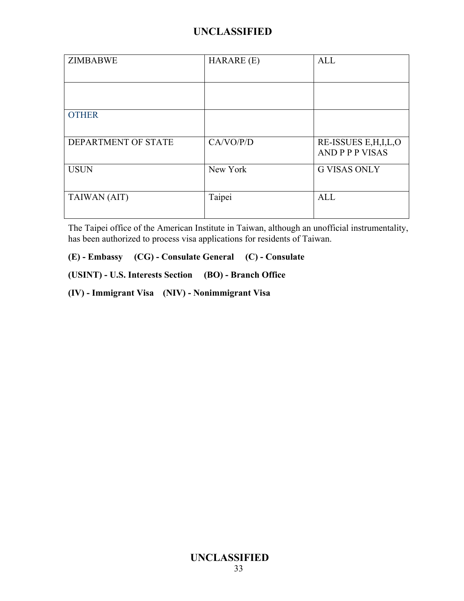| <b>ZIMBABWE</b>     | HARARE (E) | <b>ALL</b>                                        |
|---------------------|------------|---------------------------------------------------|
|                     |            |                                                   |
| <b>OTHER</b>        |            |                                                   |
| DEPARTMENT OF STATE | CA/VO/P/D  | RE-ISSUES E, H, I, L, O<br><b>AND P P P VISAS</b> |
| <b>USUN</b>         | New York   | <b>G VISAS ONLY</b>                               |
| TAIWAN (AIT)        | Taipei     | <b>ALL</b>                                        |

The Taipei office of the American Institute in Taiwan, although an unofficial instrumentality, has been authorized to process visa applications for residents of Taiwan.

**(E) - Embassy (CG) - Consulate General (C) - Consulate**

**(USINT) - U.S. Interests Section (BO) - Branch Office**

**(IV) - Immigrant Visa (NIV) - Nonimmigrant Visa**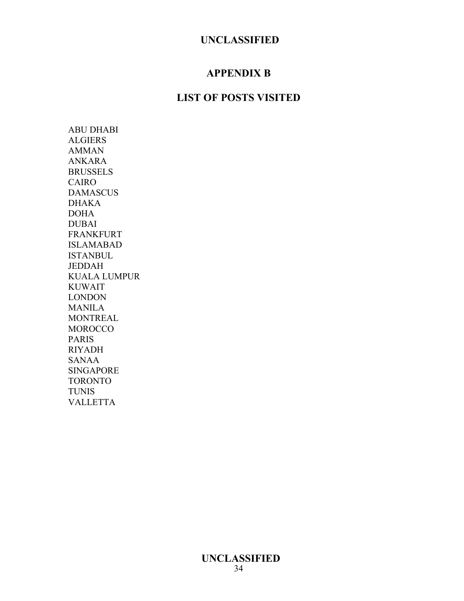### **APPENDIX B**

### **LIST OF POSTS VISITED**

ABU DHABI ALGIERS AMMAN ANKARA **BRUSSELS** CAIRO DAMASCUS DHAKA DOHA DUBAI FRANKFURT ISLAMABAD **ISTANBUL** JEDDAH KUALA LUMPUR KUWAIT LONDON MANILA **MONTREAL MOROCCO** PARIS RIYADH SANAA SINGAPORE TORONTO TUNIS VALLETTA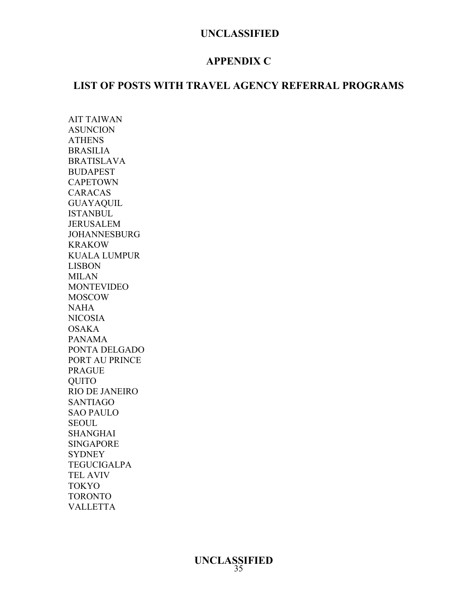### **APPENDIX C**

### **LIST OF POSTS WITH TRAVEL AGENCY REFERRAL PROGRAMS**

AIT TAIWAN ASUNCION ATHENS BRASILIA BRATISLAVA BUDAPEST **CAPETOWN** CARACAS GUAYAQUIL ISTANBUL JERUSALEM JOHANNESBURG KRAKOW KUALA LUMPUR LISBON MILAN MONTEVIDEO MOSCOW NAHA NICOSIA OSAKA PANAMA PONTA DELGADO PORT AU PRINCE PRAGUE QUITO RIO DE JANEIRO SANTIAGO SAO PAULO SEOUL SHANGHAI SINGAPORE **SYDNEY** TEGUCIGALPA TEL AVIV TOKYO TORONTO VALLETTA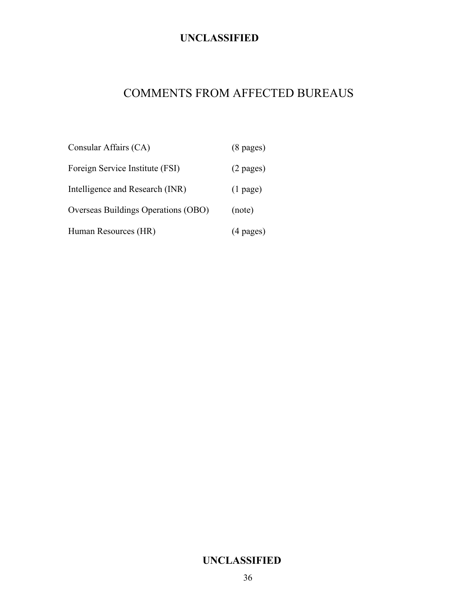## COMMENTS FROM AFFECTED BUREAUS

| Consular Affairs (CA)               | $(8 \text{ pages})$ |
|-------------------------------------|---------------------|
| Foreign Service Institute (FSI)     | $(2 \text{ pages})$ |
| Intelligence and Research (INR)     | $(1$ page)          |
| Overseas Buildings Operations (OBO) | (note)              |
| Human Resources (HR)                | $(4 \text{ pages})$ |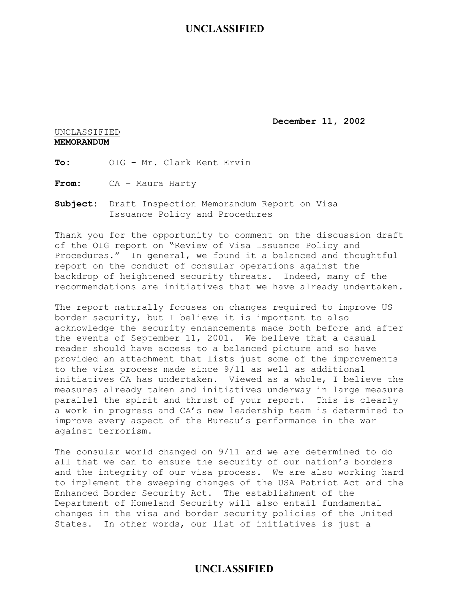**December 11, 2002** 

#### UNCLASSIFIED **MEMORANDUM**

**To:** OIG – Mr. Clark Kent Ervin

**From:** CA – Maura Harty

**Subject:** Draft Inspection Memorandum Report on Visa Issuance Policy and Procedures

Thank you for the opportunity to comment on the discussion draft of the OIG report on "Review of Visa Issuance Policy and Procedures." In general, we found it a balanced and thoughtful report on the conduct of consular operations against the backdrop of heightened security threats. Indeed, many of the recommendations are initiatives that we have already undertaken.

The report naturally focuses on changes required to improve US border security, but I believe it is important to also acknowledge the security enhancements made both before and after the events of September 11, 2001. We believe that a casual reader should have access to a balanced picture and so have provided an attachment that lists just some of the improvements to the visa process made since 9/11 as well as additional initiatives CA has undertaken. Viewed as a whole, I believe the measures already taken and initiatives underway in large measure parallel the spirit and thrust of your report. This is clearly a work in progress and CA's new leadership team is determined to improve every aspect of the Bureau's performance in the war against terrorism.

The consular world changed on 9/11 and we are determined to do all that we can to ensure the security of our nation's borders and the integrity of our visa process. We are also working hard to implement the sweeping changes of the USA Patriot Act and the Enhanced Border Security Act. The establishment of the Department of Homeland Security will also entail fundamental changes in the visa and border security policies of the United States. In other words, our list of initiatives is just a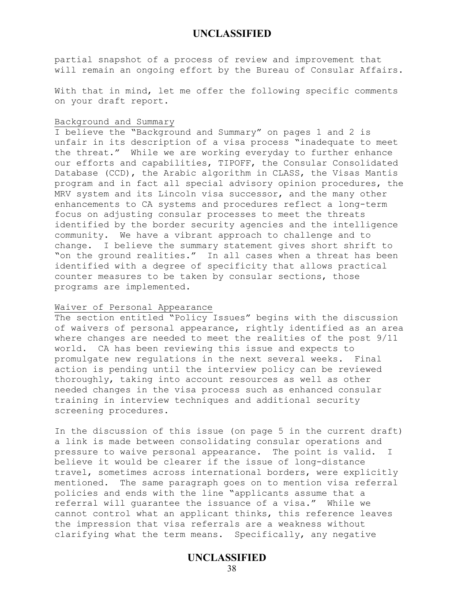partial snapshot of a process of review and improvement that will remain an ongoing effort by the Bureau of Consular Affairs.

With that in mind, let me offer the following specific comments on your draft report.

#### Background and Summary

I believe the "Background and Summary" on pages 1 and 2 is unfair in its description of a visa process "inadequate to meet the threat." While we are working everyday to further enhance our efforts and capabilities, TIPOFF, the Consular Consolidated Database (CCD), the Arabic algorithm in CLASS, the Visas Mantis program and in fact all special advisory opinion procedures, the MRV system and its Lincoln visa successor, and the many other enhancements to CA systems and procedures reflect a long-term focus on adjusting consular processes to meet the threats identified by the border security agencies and the intelligence community. We have a vibrant approach to challenge and to change. I believe the summary statement gives short shrift to "on the ground realities." In all cases when a threat has been identified with a degree of specificity that allows practical counter measures to be taken by consular sections, those programs are implemented.

#### Waiver of Personal Appearance

The section entitled "Policy Issues" begins with the discussion of waivers of personal appearance, rightly identified as an area where changes are needed to meet the realities of the post 9/11 world. CA has been reviewing this issue and expects to promulgate new regulations in the next several weeks. Final action is pending until the interview policy can be reviewed thoroughly, taking into account resources as well as other needed changes in the visa process such as enhanced consular training in interview techniques and additional security screening procedures.

In the discussion of this issue (on page 5 in the current draft) a link is made between consolidating consular operations and pressure to waive personal appearance. The point is valid. I believe it would be clearer if the issue of long-distance travel, sometimes across international borders, were explicitly mentioned. The same paragraph goes on to mention visa referral policies and ends with the line "applicants assume that a referral will guarantee the issuance of a visa." While we cannot control what an applicant thinks, this reference leaves the impression that visa referrals are a weakness without clarifying what the term means. Specifically, any negative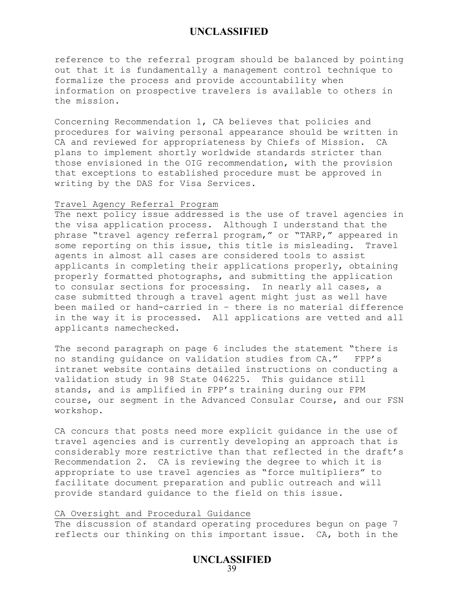reference to the referral program should be balanced by pointing out that it is fundamentally a management control technique to formalize the process and provide accountability when information on prospective travelers is available to others in the mission.

Concerning Recommendation 1, CA believes that policies and procedures for waiving personal appearance should be written in CA and reviewed for appropriateness by Chiefs of Mission. CA plans to implement shortly worldwide standards stricter than those envisioned in the OIG recommendation, with the provision that exceptions to established procedure must be approved in writing by the DAS for Visa Services.

#### Travel Agency Referral Program

The next policy issue addressed is the use of travel agencies in the visa application process. Although I understand that the phrase "travel agency referral program," or "TARP," appeared in some reporting on this issue, this title is misleading. Travel agents in almost all cases are considered tools to assist applicants in completing their applications properly, obtaining properly formatted photographs, and submitting the application to consular sections for processing. In nearly all cases, a case submitted through a travel agent might just as well have been mailed or hand-carried in – there is no material difference in the way it is processed. All applications are vetted and all applicants namechecked.

The second paragraph on page 6 includes the statement "there is no standing guidance on validation studies from CA." FPP's intranet website contains detailed instructions on conducting a validation study in 98 State 046225. This guidance still stands, and is amplified in FPP's training during our FPM course, our segment in the Advanced Consular Course, and our FSN workshop.

CA concurs that posts need more explicit guidance in the use of travel agencies and is currently developing an approach that is considerably more restrictive than that reflected in the draft's Recommendation 2. CA is reviewing the degree to which it is appropriate to use travel agencies as "force multipliers" to facilitate document preparation and public outreach and will provide standard guidance to the field on this issue.

#### CA Oversight and Procedural Guidance

The discussion of standard operating procedures begun on page 7 reflects our thinking on this important issue. CA, both in the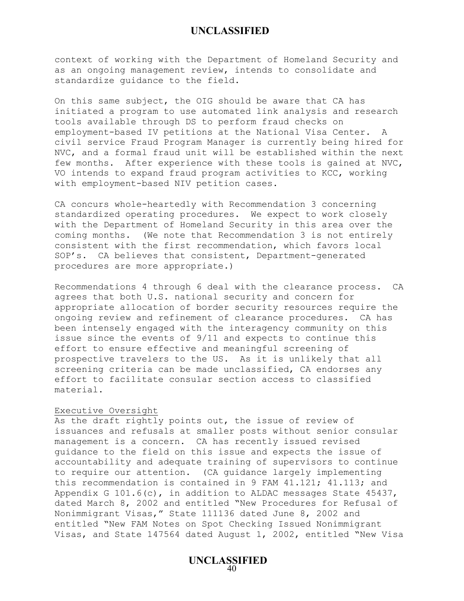context of working with the Department of Homeland Security and as an ongoing management review, intends to consolidate and standardize guidance to the field.

On this same subject, the OIG should be aware that CA has initiated a program to use automated link analysis and research tools available through DS to perform fraud checks on employment-based IV petitions at the National Visa Center. A civil service Fraud Program Manager is currently being hired for NVC, and a formal fraud unit will be established within the next few months. After experience with these tools is gained at NVC, VO intends to expand fraud program activities to KCC, working with employment-based NIV petition cases.

CA concurs whole-heartedly with Recommendation 3 concerning standardized operating procedures. We expect to work closely with the Department of Homeland Security in this area over the coming months. (We note that Recommendation 3 is not entirely consistent with the first recommendation, which favors local SOP's. CA believes that consistent, Department-generated procedures are more appropriate.)

Recommendations 4 through 6 deal with the clearance process. CA agrees that both U.S. national security and concern for appropriate allocation of border security resources require the ongoing review and refinement of clearance procedures. CA has been intensely engaged with the interagency community on this issue since the events of 9/11 and expects to continue this effort to ensure effective and meaningful screening of prospective travelers to the US. As it is unlikely that all screening criteria can be made unclassified, CA endorses any effort to facilitate consular section access to classified material.

#### Executive Oversight

As the draft rightly points out, the issue of review of issuances and refusals at smaller posts without senior consular management is a concern. CA has recently issued revised guidance to the field on this issue and expects the issue of accountability and adequate training of supervisors to continue to require our attention. (CA guidance largely implementing this recommendation is contained in 9 FAM 41.121; 41.113; and Appendix G 101.6(c), in addition to ALDAC messages State 45437, dated March 8, 2002 and entitled "New Procedures for Refusal of Nonimmigrant Visas," State 111136 dated June 8, 2002 and entitled "New FAM Notes on Spot Checking Issued Nonimmigrant Visas, and State 147564 dated August 1, 2002, entitled "New Visa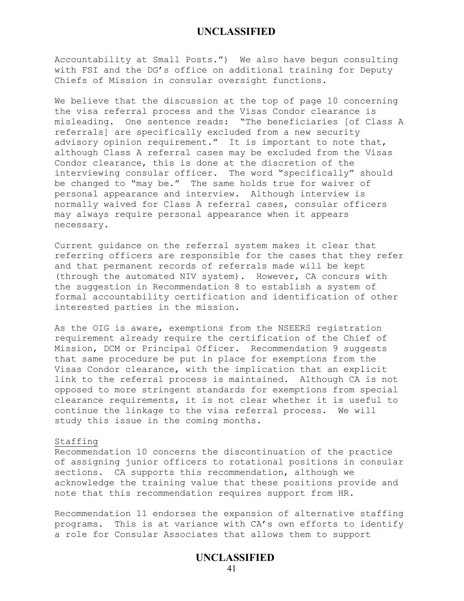Accountability at Small Posts.") We also have begun consulting with FSI and the DG's office on additional training for Deputy Chiefs of Mission in consular oversight functions.

We believe that the discussion at the top of page 10 concerning the visa referral process and the Visas Condor clearance is misleading. One sentence reads: "The beneficiaries [of Class A referrals] are specifically excluded from a new security advisory opinion requirement." It is important to note that, although Class A referral cases may be excluded from the Visas Condor clearance, this is done at the discretion of the interviewing consular officer. The word "specifically" should be changed to "may be." The same holds true for waiver of personal appearance and interview. Although interview is normally waived for Class A referral cases, consular officers may always require personal appearance when it appears necessary.

Current guidance on the referral system makes it clear that referring officers are responsible for the cases that they refer and that permanent records of referrals made will be kept (through the automated NIV system). However, CA concurs with the suggestion in Recommendation 8 to establish a system of formal accountability certification and identification of other interested parties in the mission.

As the OIG is aware, exemptions from the NSEERS registration requirement already require the certification of the Chief of Mission, DCM or Principal Officer. Recommendation 9 suggests that same procedure be put in place for exemptions from the Visas Condor clearance, with the implication that an explicit link to the referral process is maintained. Although CA is not opposed to more stringent standards for exemptions from special clearance requirements, it is not clear whether it is useful to continue the linkage to the visa referral process. We will study this issue in the coming months.

#### Staffing

Recommendation 10 concerns the discontinuation of the practice of assigning junior officers to rotational positions in consular sections. CA supports this recommendation, although we acknowledge the training value that these positions provide and note that this recommendation requires support from HR.

Recommendation 11 endorses the expansion of alternative staffing programs. This is at variance with CA's own efforts to identify a role for Consular Associates that allows them to support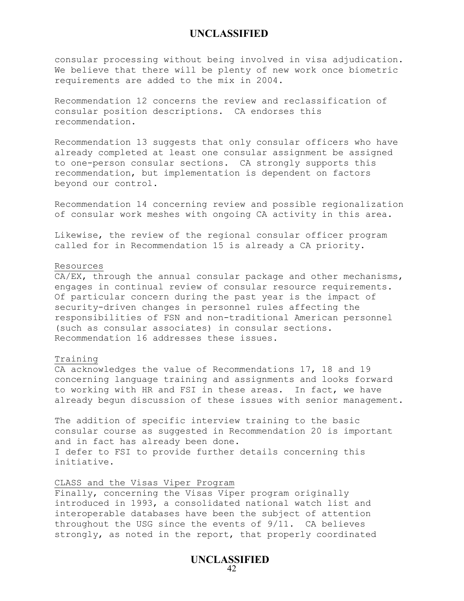consular processing without being involved in visa adjudication. We believe that there will be plenty of new work once biometric requirements are added to the mix in 2004.

Recommendation 12 concerns the review and reclassification of consular position descriptions. CA endorses this recommendation.

Recommendation 13 suggests that only consular officers who have already completed at least one consular assignment be assigned to one-person consular sections. CA strongly supports this recommendation, but implementation is dependent on factors beyond our control.

Recommendation 14 concerning review and possible regionalization of consular work meshes with ongoing CA activity in this area.

Likewise, the review of the regional consular officer program called for in Recommendation 15 is already a CA priority.

#### Resources

CA/EX, through the annual consular package and other mechanisms, engages in continual review of consular resource requirements. Of particular concern during the past year is the impact of security-driven changes in personnel rules affecting the responsibilities of FSN and non-traditional American personnel (such as consular associates) in consular sections. Recommendation 16 addresses these issues.

#### Training

CA acknowledges the value of Recommendations 17, 18 and 19 concerning language training and assignments and looks forward to working with HR and FSI in these areas. In fact, we have already begun discussion of these issues with senior management.

The addition of specific interview training to the basic consular course as suggested in Recommendation 20 is important and in fact has already been done. I defer to FSI to provide further details concerning this initiative.

#### CLASS and the Visas Viper Program

Finally, concerning the Visas Viper program originally introduced in 1993, a consolidated national watch list and interoperable databases have been the subject of attention throughout the USG since the events of 9/11. CA believes strongly, as noted in the report, that properly coordinated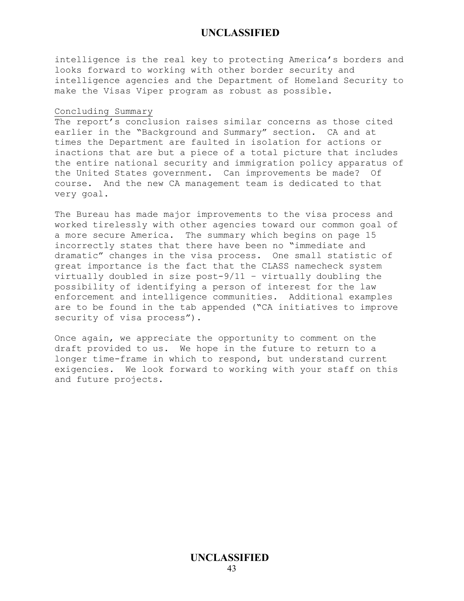intelligence is the real key to protecting America's borders and looks forward to working with other border security and intelligence agencies and the Department of Homeland Security to make the Visas Viper program as robust as possible.

#### Concluding Summary

The report's conclusion raises similar concerns as those cited earlier in the "Background and Summary" section. CA and at times the Department are faulted in isolation for actions or inactions that are but a piece of a total picture that includes the entire national security and immigration policy apparatus of the United States government. Can improvements be made? Of course. And the new CA management team is dedicated to that very goal.

The Bureau has made major improvements to the visa process and worked tirelessly with other agencies toward our common goal of a more secure America. The summary which begins on page 15 incorrectly states that there have been no "immediate and dramatic" changes in the visa process. One small statistic of great importance is the fact that the CLASS namecheck system virtually doubled in size post-9/11 – virtually doubling the possibility of identifying a person of interest for the law enforcement and intelligence communities. Additional examples are to be found in the tab appended ("CA initiatives to improve security of visa process").

Once again, we appreciate the opportunity to comment on the draft provided to us. We hope in the future to return to a longer time-frame in which to respond, but understand current exigencies. We look forward to working with your staff on this and future projects.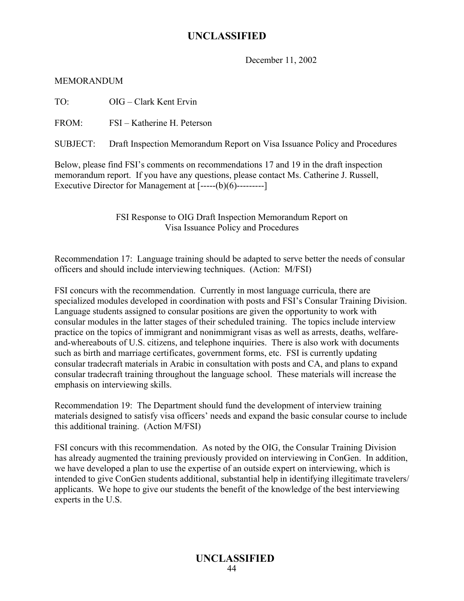December 11, 2002

MEMORANDUM

TO: OIG – Clark Kent Ervin

FROM: FSI – Katherine H. Peterson

SUBJECT: Draft Inspection Memorandum Report on Visa Issuance Policy and Procedures

Below, please find FSI's comments on recommendations 17 and 19 in the draft inspection memorandum report. If you have any questions, please contact Ms. Catherine J. Russell, Executive Director for Management at [-----(b)(6)---------]

> FSI Response to OIG Draft Inspection Memorandum Report on Visa Issuance Policy and Procedures

Recommendation 17: Language training should be adapted to serve better the needs of consular officers and should include interviewing techniques. (Action: M/FSI)

FSI concurs with the recommendation. Currently in most language curricula, there are specialized modules developed in coordination with posts and FSI's Consular Training Division. Language students assigned to consular positions are given the opportunity to work with consular modules in the latter stages of their scheduled training. The topics include interview practice on the topics of immigrant and nonimmigrant visas as well as arrests, deaths, welfareand-whereabouts of U.S. citizens, and telephone inquiries. There is also work with documents such as birth and marriage certificates, government forms, etc. FSI is currently updating consular tradecraft materials in Arabic in consultation with posts and CA, and plans to expand consular tradecraft training throughout the language school. These materials will increase the emphasis on interviewing skills.

Recommendation 19: The Department should fund the development of interview training materials designed to satisfy visa officers' needs and expand the basic consular course to include this additional training. (Action M/FSI)

FSI concurs with this recommendation. As noted by the OIG, the Consular Training Division has already augmented the training previously provided on interviewing in ConGen. In addition, we have developed a plan to use the expertise of an outside expert on interviewing, which is intended to give ConGen students additional, substantial help in identifying illegitimate travelers/ applicants. We hope to give our students the benefit of the knowledge of the best interviewing experts in the U.S.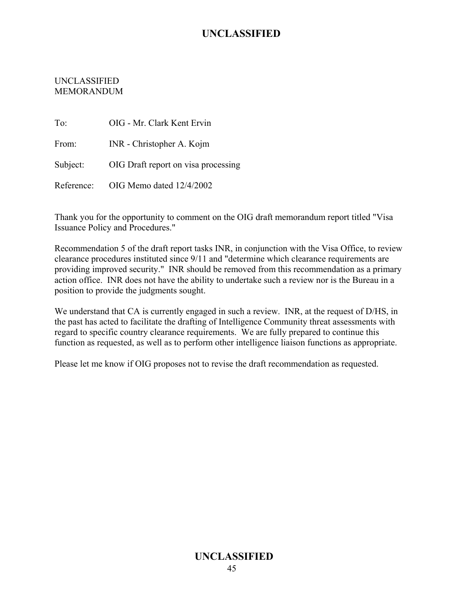### UNCLASSIFIED MEMORANDUM

To: OIG - Mr. Clark Kent Ervin From: INR - Christopher A. Kojm Subject: OIG Draft report on visa processing Reference: OIG Memo dated 12/4/2002

Thank you for the opportunity to comment on the OIG draft memorandum report titled "Visa Issuance Policy and Procedures."

Recommendation 5 of the draft report tasks INR, in conjunction with the Visa Office, to review clearance procedures instituted since 9/11 and "determine which clearance requirements are providing improved security." INR should be removed from this recommendation as a primary action office. INR does not have the ability to undertake such a review nor is the Bureau in a position to provide the judgments sought.

We understand that CA is currently engaged in such a review. INR, at the request of D/HS, in the past has acted to facilitate the drafting of Intelligence Community threat assessments with regard to specific country clearance requirements. We are fully prepared to continue this function as requested, as well as to perform other intelligence liaison functions as appropriate.

Please let me know if OIG proposes not to revise the draft recommendation as requested.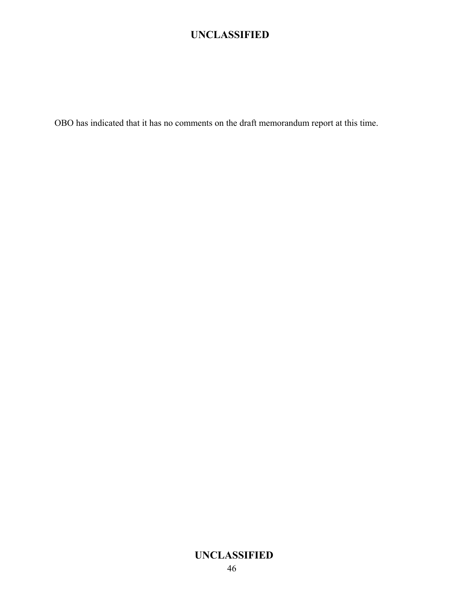OBO has indicated that it has no comments on the draft memorandum report at this time.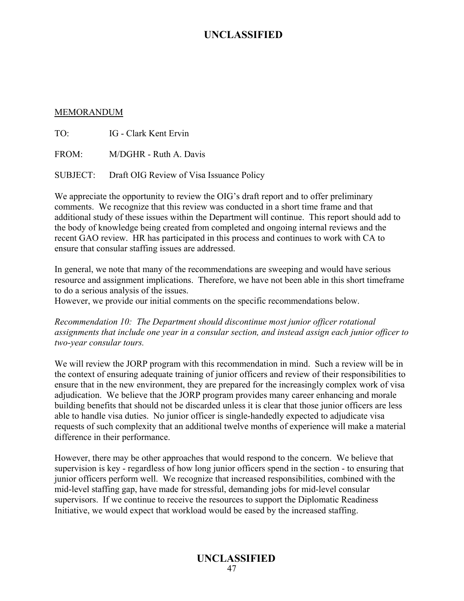#### MEMORANDUM

TO: IG - Clark Kent Ervin

FROM: M/DGHR - Ruth A. Davis

SUBJECT: Draft OIG Review of Visa Issuance Policy

We appreciate the opportunity to review the OIG's draft report and to offer preliminary comments. We recognize that this review was conducted in a short time frame and that additional study of these issues within the Department will continue. This report should add to the body of knowledge being created from completed and ongoing internal reviews and the recent GAO review. HR has participated in this process and continues to work with CA to ensure that consular staffing issues are addressed.

In general, we note that many of the recommendations are sweeping and would have serious resource and assignment implications. Therefore, we have not been able in this short timeframe to do a serious analysis of the issues.

However, we provide our initial comments on the specific recommendations below.

*Recommendation 10: The Department should discontinue most junior officer rotational assignments that include one year in a consular section, and instead assign each junior officer to two-year consular tours.* 

We will review the JORP program with this recommendation in mind. Such a review will be in the context of ensuring adequate training of junior officers and review of their responsibilities to ensure that in the new environment, they are prepared for the increasingly complex work of visa adjudication. We believe that the JORP program provides many career enhancing and morale building benefits that should not be discarded unless it is clear that those junior officers are less able to handle visa duties. No junior officer is single-handedly expected to adjudicate visa requests of such complexity that an additional twelve months of experience will make a material difference in their performance.

However, there may be other approaches that would respond to the concern. We believe that supervision is key - regardless of how long junior officers spend in the section - to ensuring that junior officers perform well. We recognize that increased responsibilities, combined with the mid-level staffing gap, have made for stressful, demanding jobs for mid-level consular supervisors. If we continue to receive the resources to support the Diplomatic Readiness Initiative, we would expect that workload would be eased by the increased staffing.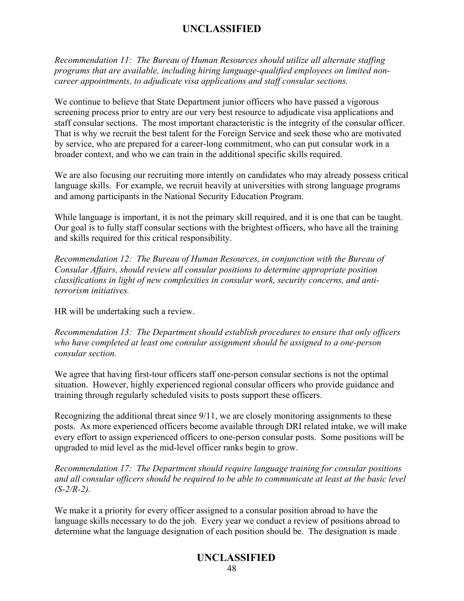*Recommendation 11: The Bureau of Human Resources should utilize all alternate staffing programs that are available, including hiring language-qualified employees on limited noncareer appointments, to adjudicate visa applications and staff consular sections.* 

We continue to believe that State Department junior officers who have passed a vigorous screening process prior to entry are our very best resource to adjudicate visa applications and staff consular sections. The most important characteristic is the integrity of the consular officer. That is why we recruit the best talent for the Foreign Service and seek those who are motivated by service, who are prepared for a career-long commitment, who can put consular work in a broader context, and who we can train in the additional specific skills required.

We are also focusing our recruiting more intently on candidates who may already possess critical language skills. For example, we recruit heavily at universities with strong language programs and among participants in the National Security Education Program.

While language is important, it is not the primary skill required, and it is one that can be taught. Our goal is to fully staff consular sections with the brightest officers, who have all the training and skills required for this critical responsibility.

*Recommendation 12: The Bureau of Human Resources, in conjunction with the Bureau of Consular Affairs, should review all consular positions to determine appropriate position classifications in light of new complexities in consular work, security concerns, and antiterrorism initiatives.* 

HR will be undertaking such a review.

*Recommendation 13: The Department should establish procedures to ensure that only officers who have completed at least one consular assignment should be assigned to a one-person consular section.* 

We agree that having first-tour officers staff one-person consular sections is not the optimal situation. However, highly experienced regional consular officers who provide guidance and training through regularly scheduled visits to posts support these officers.

Recognizing the additional threat since 9/11, we are closely monitoring assignments to these posts. As more experienced officers become available through DRI related intake, we will make every effort to assign experienced officers to one-person consular posts. Some positions will be upgraded to mid level as the mid-level officer ranks begin to grow.

*Recommendation 17: The Department should require language training for consular positions and all consular officers should be required to be able to communicate at least at the basic level (S-2/R-2).* 

We make it a priority for every officer assigned to a consular position abroad to have the language skills necessary to do the job. Every year we conduct a review of positions abroad to determine what the language designation of each position should be. The designation is made